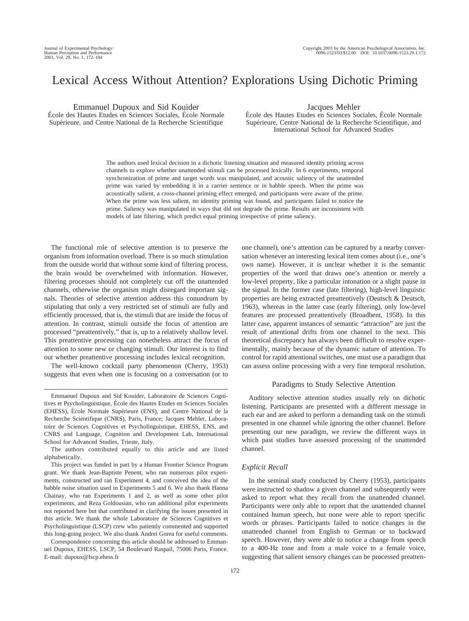# Lexical Access Without Attention? Explorations Using Dichotic Priming

Emmanuel Dupoux and Sid Kouider École des Hautes Etudes en Sciences Sociales, École Normale Supérieure, and Centre National de la Recherche Scientifique

Jacques Mehler

École des Hautes Etudes en Sciences Sociales, École Normale Supérieure, Centre National de la Recherche Scientifique, and International School for Advanced Studies

The authors used lexical decision in a dichotic listening situation and measured identity priming across channels to explore whether unattended stimuli can be processed lexically. In 6 experiments, temporal synchronization of prime and target words was manipulated, and acoustic saliency of the unattended prime was varied by embedding it in a carrier sentence or in babble speech. When the prime was acoustically salient, a cross-channel priming effect emerged, and participants were aware of the prime. When the prime was less salient, no identity priming was found, and participants failed to notice the prime. Saliency was manipulated in ways that did not degrade the prime. Results are inconsistent with models of late filtering, which predict equal priming irrespective of prime saliency.

The functional role of selective attention is to preserve the organism from information overload. There is so much stimulation from the outside world that without some kind of filtering process, the brain would be overwhelmed with information. However, filtering processes should not completely cut off the unattended channels, otherwise the organism might disregard important signals. Theories of selective attention address this conundrum by stipulating that only a very restricted set of stimuli are fully and efficiently processed, that is, the stimuli that are inside the focus of attention. In contrast, stimuli outside the focus of attention are processed "preattentively," that is, up to a relatively shallow level. This preattentive processing can nonetheless attract the focus of attention to some new or changing stimuli. Our interest is to find out whether preattentive processing includes lexical recognition.

The well-known cocktail party phenomenon (Cherry, 1953) suggests that even when one is focusing on a conversation (or to

The authors contributed equally to this article and are listed alphabetically.

This project was funded in part by a Human Frontier Science Program grant. We thank Jean-Baptiste Penent, who ran numerous pilot experiments, constructed and ran Experiment 4, and conceived the idea of the babble noise situation used in Experiments 5 and 6. We also thank Hanna Chainay, who ran Experiments 1 and 2, as well as some other pilot experiments, and Reza Goldousian, who ran additional pilot experiments not reported here but that contributed in clarifying the issues presented in this article. We thank the whole Laboratoire de Sciences Cognitives et Psycholinguistique (LSCP) crew who patiently commented and supported this long-going project. We also thank Andrei Gorea for useful comments.

Correspondence concerning this article should be addressed to Emmanuel Dupoux, EHESS, LSCP, 54 Boulevard Raspail, 75006 Paris, France. E-mail: dupoux@lscp.ehess.fr

172

one channel), one's attention can be captured by a nearby conversation whenever an interesting lexical item comes about (i.e., one's own name). However, it is unclear whether it is the semantic properties of the word that draws one's attention or merely a low-level property, like a particular intonation or a slight pause in the signal. In the former case (late filtering), high-level linguistic properties are being extracted preattentively (Deutsch & Deutsch, 1963), whereas in the latter case (early filtering), only low-level features are processed preattentively (Broadbent, 1958). In this latter case, apparent instances of semantic "attraction" are just the result of attentional drifts from one channel to the next. This theoretical discrepancy has always been difficult to resolve experimentally, mainly because of the dynamic nature of attention. To control for rapid attentional switches, one must use a paradigm that can assess online processing with a very fine temporal resolution.

#### Paradigms to Study Selective Attention

Auditory selective attention studies usually rely on dichotic listening. Participants are presented with a different message in each ear and are asked to perform a demanding task on the stimuli presented in one channel while ignoring the other channel. Before presenting our new paradigm, we review the different ways in which past studies have assessed processing of the unattended channel.

## *Explicit Recall*

In the seminal study conducted by Cherry (1953), participants were instructed to shadow a given channel and subsequently were asked to report what they recall from the unattended channel. Participants were only able to report that the unattended channel contained human speech, but none were able to report specific words or phrases. Participants failed to notice changes in the unattended channel from English to German or to backward speech. However, they were able to notice a change from speech to a 400-Hz tone and from a male voice to a female voice, suggesting that salient sensory changes can be processed preatten-

Emmanuel Dupoux and Sid Kouider, Laboratoire de Sciences Cognitives et Psycholinguistique, École des Hautes Etudes en Sciences Sociales (EHESS), École Normale Supérieure (ENS), and Centre National de la Recherche Scientifique (CNRS), Paris, France; Jacques Mehler, Laboratoire de Sciences Cognitives et Psycholinguistique, EHESS, ENS, and CNRS and Language, Cognition and Development Lab, International School for Advanced Studies, Trieste, Italy.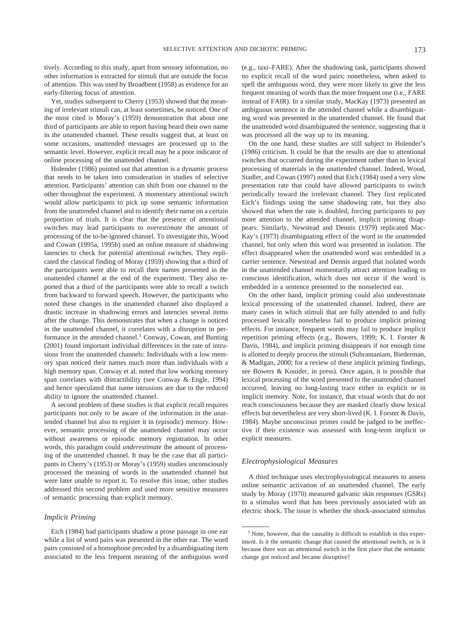tively. According to this study, apart from sensory information, no other information is extracted for stimuli that are outside the focus of attention. This was used by Broadbent (1958) as evidence for an early-filtering focus of attention.

Yet, studies subsequent to Cherry (1953) showed that the meaning of irrelevant stimuli can, at least sometimes, be noticed. One of the most cited is Moray's (1959) demonstration that about one third of participants are able to report having heard their own name in the unattended channel. These results suggest that, at least on some occasions, unattended messages are processed up to the semantic level. However, explicit recall may be a poor indicator of online processing of the unattended channel.

Holender (1986) pointed out that attention is a dynamic process that needs to be taken into consideration in studies of selective attention. Participants' attention can shift from one channel to the other throughout the experiment. A momentary attentional switch would allow participants to pick up some semantic information from the unattended channel and to identify their name on a certain proportion of trials. It is clear that the presence of attentional switches may lead participants to *overestimate* the amount of processing of the to-be-ignored channel. To investigate this, Wood and Cowan (1995a, 1995b) used an online measure of shadowing latencies to check for potential attentional switches. They replicated the classical finding of Moray (1959) showing that a third of the participants were able to recall their names presented in the unattended channel at the end of the experiment. They also reported that a third of the participants were able to recall a switch from backward to forward speech. However, the participants who noted these changes in the unattended channel also displayed a drastic increase in shadowing errors and latencies several items after the change. This demonstrates that when a change is noticed in the unattended channel, it correlates with a disruption in performance in the attended channel.<sup>1</sup> Conway, Cowan, and Bunting (2001) found important individual differences in the rate of intrusions from the unattended channels: Individuals with a low memory span noticed their names much more than individuals with a high memory span. Conway et al. noted that low working memory span correlates with distractibility (see Conway & Engle, 1994) and hence speculated that name intrusions are due to the reduced ability to ignore the unattended channel.

A second problem of these studies is that explicit recall requires participants not only to be aware of the information in the unattended channel but also to register it in (episodic) memory. However, semantic processing of the unattended channel may occur without awareness or episodic memory registration. In other words, this paradigm could *underestimate* the amount of processing of the unattended channel. It may be the case that all participants in Cherry's (1953) or Moray's (1959) studies unconsciously processed the meaning of words in the unattended channel but were later unable to report it. To resolve this issue, other studies addressed this second problem and used more sensitive measures of semantic processing than explicit memory.

## *Implicit Priming*

Eich (1984) had participants shadow a prose passage in one ear while a list of word pairs was presented in the other ear. The word pairs consisted of a homophone preceded by a disambiguating item associated to the less frequent meaning of the ambiguous word (e.g., taxi–FARE). After the shadowing task, participants showed no explicit recall of the word pairs; nonetheless, when asked to spell the ambiguous word, they were more likely to give the less frequent meaning of words than the more frequent one (i.e., FARE instead of FAIR). In a similar study, MacKay (1973) presented an ambiguous sentence in the attended channel while a disambiguating word was presented in the unattended channel. He found that the unattended word disambiguated the sentence, suggesting that it was processed all the way up to its meaning.

On the one hand, these studies are still subject to Holender's (1986) criticism. It could be that the results are due to attentional switches that occurred during the experiment rather than to lexical processing of materials in the unattended channel. Indeed, Wood, Stadler, and Cowan (1997) noted that Eich (1984) used a very slow presentation rate that could have allowed participants to switch periodically toward the irrelevant channel. They first replicated Eich's findings using the same shadowing rate, but they also showed that when the rate is doubled, forcing participants to pay more attention to the attended channel, implicit priming disappears. Similarly, Newstead and Dennis (1979) replicated Mac-Kay's (1973) disambiguating effect of the word in the unattended channel, but only when this word was presented in isolation. The effect disappeared when the unattended word was embedded in a carrier sentence. Newstead and Dennis argued that isolated words in the unattended channel momentarily attract attention leading to conscious identification, which does not occur if the word is embedded in a sentence presented to the nonselected ear.

On the other hand, implicit priming could also underestimate lexical processing of the unattended channel. Indeed, there are many cases in which stimuli that are fully attended to and fully processed lexically nonetheless fail to produce implicit priming effects. For instance, frequent words may fail to produce implicit repetition priming effects (e.g., Bowers, 1999; K. I. Forster & Davis, 1984), and implicit priming disappears if not enough time is allotted to deeply process the stimuli (Subramaniam, Biederman, & Madigan, 2000; for a review of these implicit priming findings, see Bowers & Kouider, in press). Once again, it is possible that lexical processing of the word presented to the unattended channel occurred, leaving no long-lasting trace either in explicit or in implicit memory. Note, for instance, that visual words that do not reach consciousness because they are masked clearly show lexical effects but nevertheless are very short-lived (K. I. Forster & Davis, 1984). Maybe unconscious primes could be judged to be ineffective if their existence was assessed with long-term implicit or explicit measures.

## *Electrophysiological Measures*

A third technique uses electrophysiological measures to assess online semantic activation of an unattended channel. The early study by Moray (1970) measured galvanic skin responses (GSRs) to a stimulus word that has been previously associated with an electric shock. The issue is whether the shock-associated stimulus

<sup>&</sup>lt;sup>1</sup> Note, however, that the causality is difficult to establish in this experiment. Is it the semantic change that caused the attentional switch, or is it because there was an attentional switch in the first place that the semantic change got noticed and became disruptive?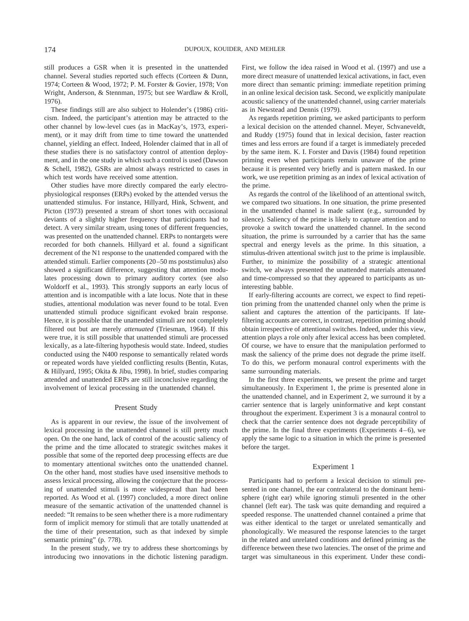still produces a GSR when it is presented in the unattended channel. Several studies reported such effects (Corteen & Dunn, 1974; Corteen & Wood, 1972; P. M. Forster & Govier, 1978; Von Wright, Anderson, & Stennman, 1975; but see Wardlaw & Kroll, 1976).

These findings still are also subject to Holender's (1986) criticism. Indeed, the participant's attention may be attracted to the other channel by low-level cues (as in MacKay's, 1973, experiment), or it may drift from time to time toward the unattended channel, yielding an effect. Indeed, Holender claimed that in all of these studies there is no satisfactory control of attention deployment, and in the one study in which such a control is used (Dawson & Schell, 1982), GSRs are almost always restricted to cases in which test words have received some attention.

Other studies have more directly compared the early electrophysiological responses (ERPs) evoked by the attended versus the unattended stimulus. For instance, Hillyard, Hink, Schwent, and Picton (1973) presented a stream of short tones with occasional deviants of a slightly higher frequency that participants had to detect. A very similar stream, using tones of different frequencies, was presented on the unattended channel. ERPs to nontargets were recorded for both channels. Hillyard et al. found a significant decrement of the N1 response to the unattended compared with the attended stimuli. Earlier components (20–50 ms poststimulus) also showed a significant difference, suggesting that attention modulates processing down to primary auditory cortex (see also Woldorff et al., 1993). This strongly supports an early locus of attention and is incompatible with a late locus. Note that in these studies, attentional modulation was never found to be total. Even unattended stimuli produce significant evoked brain response. Hence, it is possible that the unattended stimuli are not completely filtered out but are merely *attenuated* (Triesman, 1964). If this were true, it is still possible that unattended stimuli are processed lexically, as a late-filtering hypothesis would state. Indeed, studies conducted using the N400 response to semantically related words or repeated words have yielded conflicting results (Bentin, Kutas, & Hillyard, 1995; Okita & Jibu, 1998). In brief, studies comparing attended and unattended ERPs are still inconclusive regarding the involvement of lexical processing in the unattended channel.

#### Present Study

As is apparent in our review, the issue of the involvement of lexical processing in the unattended channel is still pretty much open. On the one hand, lack of control of the acoustic saliency of the prime and the time allocated to strategic switches makes it possible that some of the reported deep processing effects are due to momentary attentional switches onto the unattended channel. On the other hand, most studies have used insensitive methods to assess lexical processing, allowing the conjecture that the processing of unattended stimuli is more widespread than had been reported. As Wood et al. (1997) concluded, a more direct online measure of the semantic activation of the unattended channel is needed: "It remains to be seen whether there is a more rudimentary form of implicit memory for stimuli that are totally unattended at the time of their presentation, such as that indexed by simple semantic priming" (p. 778).

In the present study, we try to address these shortcomings by introducing two innovations in the dichotic listening paradigm. First, we follow the idea raised in Wood et al. (1997) and use a more direct measure of unattended lexical activations, in fact, even more direct than semantic priming: immediate repetition priming in an online lexical decision task. Second, we explicitly manipulate acoustic saliency of the unattended channel, using carrier materials as in Newstead and Dennis (1979).

As regards repetition priming, we asked participants to perform a lexical decision on the attended channel. Meyer, Schvaneveldt, and Ruddy (1975) found that in lexical decision, faster reaction times and less errors are found if a target is immediately preceded by the same item. K. I. Forster and Davis (1984) found repetition priming even when participants remain unaware of the prime because it is presented very briefly and is pattern masked. In our work, we use repetition priming as an index of lexical activation of the prime.

As regards the control of the likelihood of an attentional switch, we compared two situations. In one situation, the prime presented in the unattended channel is made salient (e.g., surrounded by silence). Saliency of the prime is likely to capture attention and to provoke a switch toward the unattended channel. In the second situation, the prime is surrounded by a carrier that has the same spectral and energy levels as the prime. In this situation, a stimulus-driven attentional switch just to the prime is implausible. Further, to minimize the possibility of a strategic attentional switch, we always presented the unattended materials attenuated and time-compressed so that they appeared to participants as uninteresting babble.

If early-filtering accounts are correct, we expect to find repetition priming from the unattended channel only when the prime is salient and captures the attention of the participants. If latefiltering accounts are correct, in contrast, repetition priming should obtain irrespective of attentional switches. Indeed, under this view, attention plays a role only after lexical access has been completed. Of course, we have to ensure that the manipulation performed to mask the saliency of the prime does not degrade the prime itself. To do this, we perform monaural control experiments with the same surrounding materials.

In the first three experiments, we present the prime and target simultaneously. In Experiment 1, the prime is presented alone in the unattended channel, and in Experiment 2, we surround it by a carrier sentence that is largely uninformative and kept constant throughout the experiment. Experiment 3 is a monaural control to check that the carrier sentence does not degrade perceptibility of the prime. In the final three experiments (Experiments  $4-6$ ), we apply the same logic to a situation in which the prime is presented before the target.

## Experiment 1

Participants had to perform a lexical decision to stimuli presented in one channel, the ear contralateral to the dominant hemisphere (right ear) while ignoring stimuli presented in the other channel (left ear). The task was quite demanding and required a speeded response. The unattended channel contained a prime that was either identical to the target or unrelated semantically and phonologically. We measured the response latencies to the target in the related and unrelated conditions and defined priming as the difference between these two latencies. The onset of the prime and target was simultaneous in this experiment. Under these condi-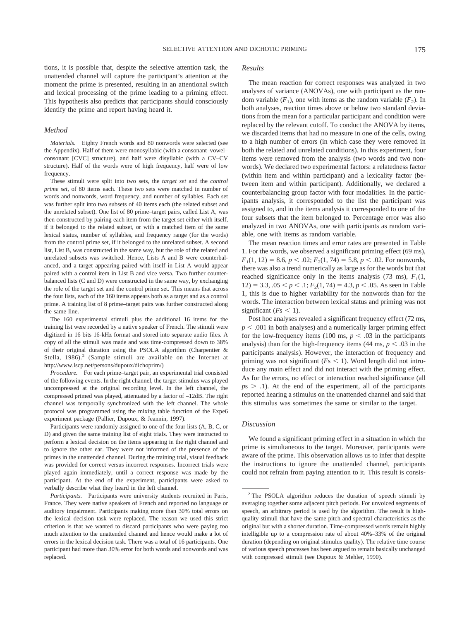tions, it is possible that, despite the selective attention task, the unattended channel will capture the participant's attention at the moment the prime is presented, resulting in an attentional switch and lexical processing of the prime leading to a priming effect. This hypothesis also predicts that participants should consciously identify the prime and report having heard it.

#### *Method*

*Materials.* Eighty French words and 80 nonwords were selected (see the Appendix). Half of them were monosyllabic (with a consonant–vowel– consonant [CVC] structure), and half were disyllabic (with a CV–CV structure). Half of the words were of high frequency, half were of low frequency.

These stimuli were split into two sets, the *target set* and the *control prime set*, of 80 items each. These two sets were matched in number of words and nonwords, word frequency, and number of syllables. Each set was further split into two subsets of 40 items each (the related subset and the unrelated subset). One list of 80 prime–target pairs, called List A, was then constructed by pairing each item from the target set either with itself, if it belonged to the related subset, or with a matched item of the same lexical status, number of syllables, and frequency range (for the words) from the control prime set, if it belonged to the unrelated subset. A second list, List B, was constructed in the same way, but the role of the related and unrelated subsets was switched. Hence, Lists A and B were counterbalanced, and a target appearing paired with itself in List A would appear paired with a control item in List B and vice versa. Two further counterbalanced lists (C and D) were constructed in the same way, by exchanging the role of the target set and the control prime set. This means that across the four lists, each of the 160 items appears both as a target and as a control prime. A training list of 8 prime–target pairs was further constructed along the same line.

The 160 experimental stimuli plus the additional 16 items for the training list were recorded by a native speaker of French. The stimuli were digitized in 16 bits 16-kHz format and stored into separate audio files. A copy of all the stimuli was made and was time-compressed down to 38% of their original duration using the PSOLA algorithm (Charpentier & Stella, 1986).<sup>2</sup> (Sample stimuli are available on the Internet at http://www.lscp.net/persons/dupoux/dichoprim/)

*Procedure.* For each prime–target pair, an experimental trial consisted of the following events. In the right channel, the target stimulus was played uncompressed at the original recording level. In the left channel, the compressed primed was played, attenuated by a factor of –12dB. The right channel was temporally synchronized with the left channel. The whole protocol was programmed using the mixing table function of the Expe6 experiment package (Pallier, Dupoux, & Jeannin, 1997).

Participants were randomly assigned to one of the four lists (A, B, C, or D) and given the same training list of eight trials. They were instructed to perform a lexical decision on the items appearing in the right channel and to ignore the other ear. They were not informed of the presence of the primes in the unattended channel. During the training trial, visual feedback was provided for correct versus incorrect responses. Incorrect trials were played again immediately, until a correct response was made by the participant. At the end of the experiment, participants were asked to verbally describe what they heard in the left channel.

*Participants.* Participants were university students recruited in Paris, France. They were native speakers of French and reported no language or auditory impairment. Participants making more than 30% total errors on the lexical decision task were replaced. The reason we used this strict criterion is that we wanted to discard participants who were paying too much attention to the unattended channel and hence would make a lot of errors in the lexical decision task. There was a total of 16 participants. One participant had more than 30% error for both words and nonwords and was replaced.

#### *Results*

The mean reaction for correct responses was analyzed in two analyses of variance (ANOVAs), one with participant as the random variable  $(F_1)$ , one with items as the random variable  $(F_2)$ . In both analyses, reaction times above or below two standard deviations from the mean for a particular participant and condition were replaced by the relevant cutoff. To conduct the ANOVA by items, we discarded items that had no measure in one of the cells, owing to a high number of errors (in which case they were removed in both the related and unrelated conditions). In this experiment, four items were removed from the analysis (two words and two nonwords). We declared two experimental factors: a relatedness factor (within item and within participant) and a lexicality factor (between item and within participant). Additionally, we declared a counterbalancing group factor with four modalities. In the participants analysis, it corresponded to the list the participant was assigned to, and in the items analysis it corresponded to one of the four subsets that the item belonged to. Percentage error was also analyzed in two ANOVAs, one with participants as random variable, one with items as random variable.

The mean reaction times and error rates are presented in Table 1. For the words, we observed a significant priming effect (69 ms),  $F_1(1, 12) = 8.6, p < .02; F_2(1, 74) = 5.8, p < .02$ . For nonwords, there was also a trend numerically as large as for the words but that reached significance only in the items analysis (73 ms),  $F_1(1, 1)$ 12) = 3.3,  $.05 < p < 0.1$ ;  $F_2(1, 74) = 4.3$ ,  $p < 0.05$ . As seen in Table 1, this is due to higher variability for the nonwords than for the words. The interaction between lexical status and priming was not significant ( $Fs < 1$ ).

Post hoc analyses revealed a significant frequency effect (72 ms,  $p < .001$  in both analyses) and a numerically larger priming effect for the low-frequency items (100 ms,  $p < .03$  in the participants analysis) than for the high-frequency items  $(44 \text{ ms}, p < .03 \text{ in the})$ participants analysis). However, the interaction of frequency and priming was not significant  $(Fs \leq 1)$ . Word length did not introduce any main effect and did not interact with the priming effect. As for the errors, no effect or interaction reached significance (all  $p<sub>5</sub> > .1$ ). At the end of the experiment, all of the participants reported hearing a stimulus on the unattended channel and said that this stimulus was sometimes the same or similar to the target.

#### *Discussion*

We found a significant priming effect in a situation in which the prime is simultaneous to the target. Moreover, participants were aware of the prime. This observation allows us to infer that despite the instructions to ignore the unattended channel, participants could not refrain from paying attention to it. This result is consis-

<sup>&</sup>lt;sup>2</sup> The PSOLA algorithm reduces the duration of speech stimuli by averaging together some adjacent pitch periods. For unvoiced segments of speech, an arbitrary period is used by the algorithm. The result is highquality stimuli that have the same pitch and spectral characteristics as the original but with a shorter duration. Time-compressed words remain highly intelligible up to a compression rate of about 40%–33% of the original duration (depending on original stimulus quality). The relative time course of various speech processes has been argued to remain basically unchanged with compressed stimuli (see Dupoux & Mehler, 1990).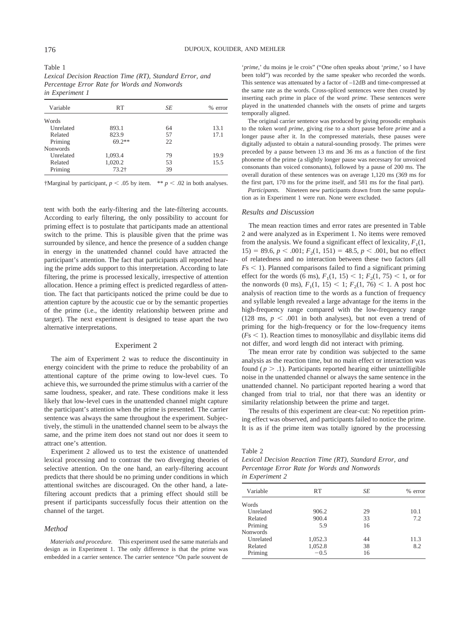$\pm$  11  $\pm$ 

| Table 1                                                  |  |
|----------------------------------------------------------|--|
| Lexical Decision Reaction Time (RT), Standard Error, and |  |
| Percentage Error Rate for Words and Nonwords             |  |
| in Experiment 1                                          |  |

| Variable<br>RT     |          | SE | $%$ error |  |
|--------------------|----------|----|-----------|--|
| Words              |          |    |           |  |
| Unrelated          | 893.1    | 64 | 13.1      |  |
| Related            | 823.9    | 57 | 17.1      |  |
| Priming            | $69.2**$ | 22 |           |  |
| <b>Nonwords</b>    |          |    |           |  |
| Unrelated          | 1,093.4  | 79 | 19.9      |  |
| 1,020.2<br>Related |          | 53 | 15.5      |  |
| Priming            | 73.2†    | 39 |           |  |

 $\dagger$ Marginal by participant,  $p < .05$  by item.  $\ast \ast p < .02$  in both analyses.

tent with both the early-filtering and the late-filtering accounts. According to early filtering, the only possibility to account for priming effect is to postulate that participants made an attentional switch to the prime. This is plausible given that the prime was surrounded by silence, and hence the presence of a sudden change in energy in the unattended channel could have attracted the participant's attention. The fact that participants all reported hearing the prime adds support to this interpretation. According to late filtering, the prime is processed lexically, irrespective of attention allocation. Hence a priming effect is predicted regardless of attention. The fact that participants noticed the prime could be due to attention capture by the acoustic cue or by the semantic properties of the prime (i.e., the identity relationship between prime and target). The next experiment is designed to tease apart the two alternative interpretations.

#### Experiment 2

The aim of Experiment 2 was to reduce the discontinuity in energy coincident with the prime to reduce the probability of an attentional capture of the prime owing to low-level cues. To achieve this, we surrounded the prime stimulus with a carrier of the same loudness, speaker, and rate. These conditions make it less likely that low-level cues in the unattended channel might capture the participant's attention when the prime is presented. The carrier sentence was always the same throughout the experiment. Subjectively, the stimuli in the unattended channel seem to be always the same, and the prime item does not stand out nor does it seem to attract one's attention.

Experiment 2 allowed us to test the existence of unattended lexical processing and to contrast the two diverging theories of selective attention. On the one hand, an early-filtering account predicts that there should be no priming under conditions in which attentional switches are discouraged. On the other hand, a latefiltering account predicts that a priming effect should still be present if participants successfully focus their attention on the channel of the target.

#### *Method*

*Materials and procedure.* This experiment used the same materials and design as in Experiment 1. The only difference is that the prime was embedded in a carrier sentence. The carrier sentence "On parle souvent de '*prime,*' du moins je le crois" ("One often speaks about '*prime,*' so I have been told") was recorded by the same speaker who recorded the words. This sentence was attenuated by a factor of –12dB and time-compressed at the same rate as the words. Cross-spliced sentences were then created by inserting each prime in place of the word *prime.* These sentences were played in the unattended channels with the onsets of prime and targets temporally aligned.

The original carrier sentence was produced by giving prosodic emphasis to the token word *prime,* giving rise to a short pause before *prime* and a longer pause after it. In the compressed materials, these pauses were digitally adjusted to obtain a natural-sounding prosody. The primes were preceded by a pause between 13 ms and 36 ms as a function of the first phoneme of the prime (a slightly longer pause was necessary for unvoiced consonants than voiced consonants), followed by a pause of 200 ms. The overall duration of these sentences was on average 1,120 ms (369 ms for the first part, 170 ms for the prime itself, and 581 ms for the final part).

*Participants.* Nineteen new participants drawn from the same population as in Experiment 1 were run. None were excluded.

#### *Results and Discussion*

The mean reaction times and error rates are presented in Table 2 and were analyzed as in Experiment 1. No items were removed from the analysis. We found a significant effect of lexicality,  $F_1(1, 1)$ 15) = 89.6,  $p < .001$ ;  $F_2(1, 151) = 48.5$ ,  $p < .001$ , but no effect of relatedness and no interaction between these two factors (all  $Fs < 1$ ). Planned comparisons failed to find a significant priming effect for the words (6 ms),  $F_1(1, 15) \le 1$ ;  $F_2(1, 75) \le 1$ , or for the nonwords (0 ms),  $F_1(1, 15) < 1$ ;  $F_2(1, 76) < 1$ . A post hoc analysis of reaction time to the words as a function of frequency and syllable length revealed a large advantage for the items in the high-frequency range compared with the low-frequency range  $(128 \text{ ms}, p \leq .001 \text{ in both analyses})$ , but not even a trend of priming for the high-frequency or for the low-frequency items  $(Fs \leq 1)$ . Reaction times to monosyllabic and disyllabic items did not differ, and word length did not interact with priming.

The mean error rate by condition was subjected to the same analysis as the reaction time, but no main effect or interaction was found  $(p > 0.1)$ . Participants reported hearing either unintelligible noise in the unattended channel or always the same sentence in the unattended channel. No participant reported hearing a word that changed from trial to trial, nor that there was an identity or similarity relationship between the prime and target.

The results of this experiment are clear-cut: No repetition priming effect was observed, and participants failed to notice the prime. It is as if the prime item was totally ignored by the processing

Table 2

*Lexical Decision Reaction Time (RT), Standard Error, and Percentage Error Rate for Words and Nonwords in Experiment 2*

| Variable  | RT      | SE | % error |
|-----------|---------|----|---------|
| Words     |         |    |         |
| Unrelated | 906.2   | 29 | 10.1    |
| Related   | 900.4   | 33 | 7.2     |
| Priming   | 5.9     | 16 |         |
| Nonwords  |         |    |         |
| Unrelated | 1,052.3 | 44 | 11.3    |
| Related   | 1,052.8 | 38 | 8.2     |
| Priming   | $-0.5$  | 16 |         |
|           |         |    |         |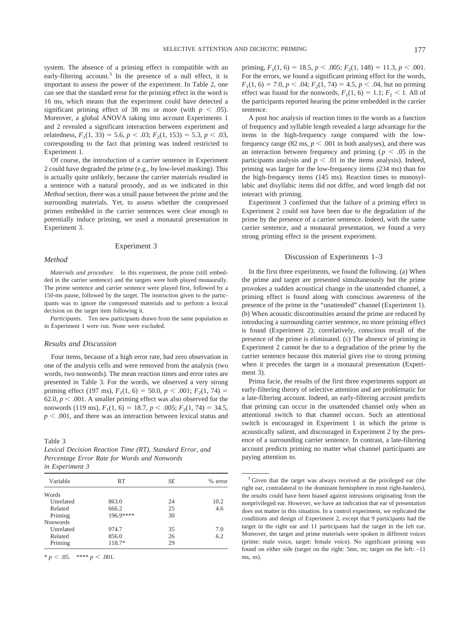system. The absence of a priming effect is compatible with an early-filtering account.<sup>3</sup> In the presence of a null effect, it is important to assess the power of the experiment. In Table 2, one can see that the standard error for the priming effect in the word is 16 ms, which means that the experiment could have detected a significant priming effect of 38 ms or more (with  $p < .05$ ). Moreover, a global ANOVA taking into account Experiments 1 and 2 revealed a significant interaction between experiment and relatedness,  $F_1(1, 33) = 5.6, p < .03; F_2(1, 153) = 5.3, p < .03,$ corresponding to the fact that priming was indeed restricted to Experiment 1.

Of course, the introduction of a carrier sentence in Experiment 2 could have degraded the prime (e.g., by low-level masking). This is actually quite unlikely, because the carrier materials resulted in a sentence with a natural prosody, and as we indicated in this *Method* section, there was a small pause between the prime and the surrounding materials. Yet, to assess whether the compressed primes embedded in the carrier sentences were clear enough to potentially induce priming, we used a monaural presentation in Experiment 3.

## Experiment 3

## *Method*

*Materials and procedure.* In this experiment, the prime (still embedded in the carrier sentence) and the targets were both played monaurally. The prime sentence and carrier sentence were played first, followed by a 150-ms pause, followed by the target. The instruction given to the participants was to ignore the compressed materials and to perform a lexical decision on the target item following it.

*Participants.* Ten new participants drawn from the same population as in Experiment 1 were run. None were excluded.

#### *Results and Discussion*

Four items, because of a high error rate, had zero observation in one of the analysis cells and were removed from the analysis (two words, two nonwords). The mean reaction times and error rates are presented in Table 3. For the words, we observed a very strong priming effect (197 ms),  $F_1(1, 6) = 50.0, p < .001; F_2(1, 74) =$  $62.0, p \leq 0.001$ . A smaller priming effect was also observed for the nonwords (119 ms),  $F_1(1, 6) = 18.7, p < .005; F_2(1, 74) = 34.5$ ,  $p < .001$ , and there was an interaction between lexical status and

Table 3

| Lexical Decision Reaction Time (RT), Standard Error, and |  |
|----------------------------------------------------------|--|
| Percentage Error Rate for Words and Nonwords             |  |
| in Experiment 3                                          |  |

| Variable        | RT        | SЕ | $%$ error |  |
|-----------------|-----------|----|-----------|--|
| Words           |           |    |           |  |
| Unrelated       | 863.0     | 24 | 10.2      |  |
| Related         | 666.2     | 25 | 4.6       |  |
| Priming         | 196.9**** | 30 |           |  |
| <b>Nonwords</b> |           |    |           |  |
| Unrelated       | 974.7     | 35 | 7.0       |  |
| Related         | 856.0     | 26 | 6.2       |  |
| Priming         | 118.7*    | 29 |           |  |

 $* p < .05.$  \*\*\*\*  $p < .001.$ 

priming,  $F_1(1, 6) = 18.5, p < .005; F_2(1, 148) = 11.3, p < .001.$ For the errors, we found a significant priming effect for the words,  $F_1(1, 6) = 7.0, p < .04; F_2(1, 74) = 4.5, p < .04$ , but no priming effect was found for the nonwords,  $F_1(1, 6) = 1.1; F_2 < 1$ . All of the participants reported hearing the prime embedded in the carrier sentence.

A post hoc analysis of reaction times to the words as a function of frequency and syllable length revealed a large advantage for the items in the high-frequency range compared with the lowfrequency range  $(82 \text{ ms}, p \leq .001 \text{ in both analyses})$ , and there was an interaction between frequency and priming ( $p < .05$  in the participants analysis and  $p < .01$  in the items analysis). Indeed, priming was larger for the low-frequency items (234 ms) than for the high-frequency items (145 ms). Reaction times to monosyllabic and disyllabic items did not differ, and word length did not interact with priming.

Experiment 3 confirmed that the failure of a priming effect in Experiment 2 could not have been due to the degradation of the prime by the presence of a carrier sentence. Indeed, with the same carrier sentence, and a monaural presentation, we found a very strong priming effect in the present experiment.

#### Discussion of Experiments 1–3

In the first three experiments, we found the following. (a) When the prime and target are presented simultaneously but the prime provokes a sudden acoustical change in the unattended channel, a priming effect is found along with conscious awareness of the presence of the prime in the "unattended" channel (Experiment 1). (b) When acoustic discontinuities around the prime are reduced by introducing a surrounding carrier sentence, no more priming effect is found (Experiment 2); correlatively, conscious recall of the presence of the prime is eliminated. (c) The absence of priming in Experiment 2 cannot be due to a degradation of the prime by the carrier sentence because this material gives rise to strong priming when it precedes the target in a monaural presentation (Experiment 3).

Prima facie, the results of the first three experiments support an early-filtering theory of selective attention and are problematic for a late-filtering account. Indeed, an early-filtering account predicts that priming can occur in the unattended channel only when an attentional switch to that channel occurs. Such an attentional switch is encouraged in Experiment 1 in which the prime is acoustically salient, and discouraged in Experiment 2 by the presence of a surrounding carrier sentence. In contrast, a late-filtering account predicts priming no matter what channel participants are paying attention to.

<sup>&</sup>lt;sup>3</sup> Given that the target was always received at the privileged ear (the right ear, contralateral to the dominant hemisphere in most right-handers), the results could have been biased against intrusions originating from the nonprivileged ear. However, we have an indication that ear of presentation does not matter in this situation. In a control experiment, we replicated the conditions and design of Experiment 2, except that 9 participants had the target in the right ear and 11 participants had the target in the left ear. Moreover, the target and prime materials were spoken in different voices (prime: male voice, target: female voice). No significant priming was found on either side (target on the right: 5ms, *ns*; target on the left: –11 ms, *ns*).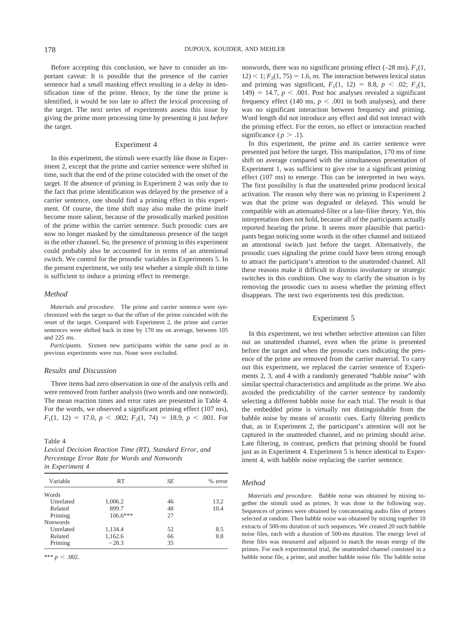Before accepting this conclusion, we have to consider an important caveat: It is possible that the presence of the carrier sentence had a small masking effect resulting in a *delay* in identification time of the prime. Hence, by the time the prime is identified, it would be too late to affect the lexical processing of the target. The next series of experiments assess this issue by giving the prime more processing time by presenting it just *before* the target.

#### Experiment 4

In this experiment, the stimuli were exactly like those in Experiment 2, except that the prime and carrier sentence were shifted in time, such that the end of the prime coincided with the onset of the target. If the absence of priming in Experiment 2 was only due to the fact that prime identification was delayed by the presence of a carrier sentence, one should find a priming effect in this experiment. Of course, the time shift may also make the prime itself become more salient, because of the prosodically marked position of the prime within the carrier sentence. Such prosodic cues are now no longer masked by the simultaneous presence of the target in the other channel. So, the presence of priming in this experiment could probably also be accounted for in terms of an attentional switch. We control for the prosodic variables in Experiments 5. In the present experiment, we only test whether a simple shift in time is sufficient to induce a priming effect to reemerge.

#### *Method*

*Materials and procedure.* The prime and carrier sentence were synchronized with the target so that the offset of the prime coincided with the onset of the target. Compared with Experiment 2, the prime and carrier sentences were shifted back in time by 170 ms on average, between 105 and 225 ms.

*Participants.* Sixteen new participants within the same pool as in previous experiments were run. None were excluded.

#### *Results and Discussion*

Three items had zero observation in one of the analysis cells and were removed from further analysis (two words and one nonword). The mean reaction times and error rates are presented in Table 4. For the words, we observed a significant priming effect (107 ms),  $F_1(1, 12) = 17.0, p < .002; F_2(1, 74) = 18.9, p < .001.$  For

#### Table 4

*Lexical Decision Reaction Time (RT), Standard Error, and Percentage Error Rate for Words and Nonwords in Experiment 4*

| Variable        | RT         | SE | $%$ error |  |
|-----------------|------------|----|-----------|--|
| Words           |            |    |           |  |
| Unrelated       | 1,006.2    | 46 | 13.2      |  |
| Related         | 899.7      | 48 | 10.4      |  |
| Priming         | $106.6***$ | 27 |           |  |
| <b>Nonwords</b> |            |    |           |  |
| Unrelated       | 1,134.4    | 52 | 8.5       |  |
| Related         | 1,162.6    | 66 | 8.8       |  |
| Priming         | $-28.3$    | 35 |           |  |

 $*** p < .002$ .

nonwords, there was no significant priming effect  $(-28 \text{ ms})$ ,  $F_1(1, 1)$  $12$ )  $\lt$  1;  $F_2(1, 75) = 1.6$ , *ns*. The interaction between lexical status and priming was significant,  $F_1(1, 12) = 8.8, p < .02; F_2(1,$  $149$ ) = 14.7,  $p < .001$ . Post hoc analyses revealed a significant frequency effect (140 ms,  $p < .001$  in both analyses), and there was no significant interaction between frequency and priming. Word length did not introduce any effect and did not interact with the priming effect. For the errors, no effect or interaction reached significance ( $p > .1$ ).

In this experiment, the prime and its carrier sentence were presented just before the target. This manipulation, 170 ms of time shift on average compared with the simultaneous presentation of Experiment 1, was sufficient to give rise to a significant priming effect (107 ms) to emerge. This can be interpreted in two ways. The first possibility is that the unattended prime produced lexical activation. The reason why there was no priming in Experiment 2 was that the prime was degraded or delayed. This would be compatible with an attenuated-filter or a late-filter theory. Yet, this interpretation does not hold, because all of the participants actually reported hearing the prime. It seems more plausible that participants began noticing some words in the other channel and initiated an attentional switch just before the target. Alternatively, the prosodic cues signaling the prime could have been strong enough to attract the participant's attention to the unattended channel. All these reasons make it difficult to dismiss involuntary or strategic switches in this condition. One way to clarify the situation is by removing the prosodic cues to assess whether the priming effect disappears. The next two experiments test this prediction.

## Experiment 5

In this experiment, we test whether selective attention can filter out an unattended channel, even when the prime is presented before the target and when the prosodic cues indicating the presence of the prime are removed from the carrier material. To carry out this experiment, we replaced the carrier sentence of Experiments 2, 3, and 4 with a randomly generated "babble noise" with similar spectral characteristics and amplitude as the prime. We also avoided the predictability of the carrier sentence by randomly selecting a different babble noise for each trial. The result is that the embedded prime is virtually not distinguishable from the babble noise by means of acoustic cues. Early filtering predicts that, as in Experiment 2, the participant's attention will not be captured in the unattended channel, and no priming should arise. Late filtering, in contrast, predicts that priming should be found just as in Experiment 4. Experiment 5 is hence identical to Experiment 4, with babble noise replacing the carrier sentence.

## *Method*

*Materials and procedure.* Babble noise was obtained by mixing together the stimuli used as primes. It was done in the following way. Sequences of primes were obtained by concatenating audio files of primes selected at random. Then babble noise was obtained by mixing together 10 extracts of 500-ms duration of such sequences. We created 20 such babble noise files, each with a duration of 500-ms duration. The energy level of these files was measured and adjusted to match the mean energy of the primes. For each experimental trial, the unattended channel consisted in a babble noise file, a prime, and another babble noise file. The babble noise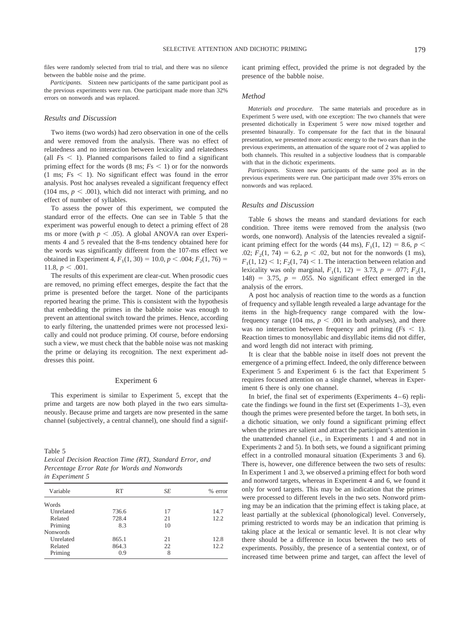files were randomly selected from trial to trial, and there was no silence between the babble noise and the prime.

*Participants.* Sixteen new participants of the same participant pool as the previous experiments were run. One participant made more than 32% errors on nonwords and was replaced.

#### *Results and Discussion*

Two items (two words) had zero observation in one of the cells and were removed from the analysis. There was no effect of relatedness and no interaction between lexicality and relatedness (all  $Fs < 1$ ). Planned comparisons failed to find a significant priming effect for the words  $(8 \text{ ms}; F_s < 1)$  or for the nonwords  $(1 \text{ ms}; F_s < 1)$ . No significant effect was found in the error analysis. Post hoc analyses revealed a significant frequency effect  $(104 \text{ ms}, p < .001)$ , which did not interact with priming, and no effect of number of syllables.

To assess the power of this experiment, we computed the standard error of the effects. One can see in Table 5 that the experiment was powerful enough to detect a priming effect of 28 ms or more (with  $p < .05$ ). A global ANOVA ran over Experiments 4 and 5 revealed that the 8-ms tendency obtained here for the words was significantly different from the 107-ms effect we obtained in Experiment 4,  $F_1(1, 30) = 10.0, p < .004; F_2(1, 76) =$ 11.8,  $p < .001$ .

The results of this experiment are clear-cut. When prosodic cues are removed, no priming effect emerges, despite the fact that the prime is presented before the target. None of the participants reported hearing the prime. This is consistent with the hypothesis that embedding the primes in the babble noise was enough to prevent an attentional switch toward the primes. Hence, according to early filtering, the unattended primes were not processed lexically and could not produce priming. Of course, before endorsing such a view, we must check that the babble noise was not masking the prime or delaying its recognition. The next experiment addresses this point.

## Experiment 6

This experiment is similar to Experiment 5, except that the prime and targets are now both played in the two ears simultaneously. Because prime and targets are now presented in the same channel (subjectively, a central channel), one should find a signif-

Table 5

*Lexical Decision Reaction Time (RT), Standard Error, and Percentage Error Rate for Words and Nonwords in Experiment 5*

| Variable        | RT    | SЕ | $%$ error |
|-----------------|-------|----|-----------|
| Words           |       |    |           |
| Unrelated       | 736.6 | 17 | 14.7      |
| Related         | 728.4 | 21 | 12.2      |
| Priming         | 8.3   | 10 |           |
| <b>Nonwords</b> |       |    |           |
| Unrelated       | 865.1 | 21 | 12.8      |
| Related         | 864.3 | 22 | 12.2      |
| Priming         | 0.9   | 8  |           |

icant priming effect, provided the prime is not degraded by the presence of the babble noise.

#### *Method*

*Materials and procedure.* The same materials and procedure as in Experiment 5 were used, with one exception: The two channels that were presented dichotically in Experiment 5 were now mixed together and presented binaurally. To compensate for the fact that in the binaural presentation, we presented more acoustic energy to the two ears than in the previous experiments, an attenuation of the square root of 2 was applied to both channels. This resulted in a subjective loudness that is comparable with that in the dichotic experiments.

*Participants.* Sixteen new participants of the same pool as in the previous experiments were run. One participant made over 35% errors on nonwords and was replaced.

## *Results and Discussion*

Table 6 shows the means and standard deviations for each condition. Three items were removed from the analysis (two words, one nonword). Analysis of the latencies revealed a significant priming effect for the words (44 ms),  $F_1(1, 12) = 8.6$ ,  $p <$ .02;  $F_2(1, 74) = 6.2, p < .02$ , but not for the nonwords (1 ms),  $F_1(1, 12) < 1; F_2(1, 74) < 1.$  The interaction between relation and lexicality was only marginal,  $F_1(1, 12) = 3.73$ ,  $p = .077$ ;  $F_2(1, 12)$ 148) = 3.75,  $p = 0.055$ . No significant effect emerged in the analysis of the errors.

A post hoc analysis of reaction time to the words as a function of frequency and syllable length revealed a large advantage for the items in the high-frequency range compared with the lowfrequency range (104 ms,  $p < .001$  in both analyses), and there was no interaction between frequency and priming  $(Fs < 1)$ . Reaction times to monosyllabic and disyllabic items did not differ, and word length did not interact with priming.

It is clear that the babble noise in itself does not prevent the emergence of a priming effect. Indeed, the only difference between Experiment 5 and Experiment 6 is the fact that Experiment 5 requires focused attention on a single channel, whereas in Experiment 6 there is only one channel.

In brief, the final set of experiments (Experiments  $4-6$ ) replicate the findings we found in the first set (Experiments 1–3), even though the primes were presented before the target. In both sets, in a dichotic situation, we only found a significant priming effect when the primes are salient and attract the participant's attention in the unattended channel (i.e., in Experiments 1 and 4 and not in Experiments 2 and 5). In both sets, we found a significant priming effect in a controlled monaural situation (Experiments 3 and 6). There is, however, one difference between the two sets of results: In Experiment 1 and 3, we observed a priming effect for both word and nonword targets, whereas in Experiment 4 and 6, we found it only for word targets. This may be an indication that the primes were processed to different levels in the two sets. Nonword priming may be an indication that the priming effect is taking place, at least partially at the sublexical (phonological) level. Conversely, priming restricted to words may be an indication that priming is taking place at the lexical or semantic level. It is not clear why there should be a difference in locus between the two sets of experiments. Possibly, the presence of a sentential context, or of increased time between prime and target, can affect the level of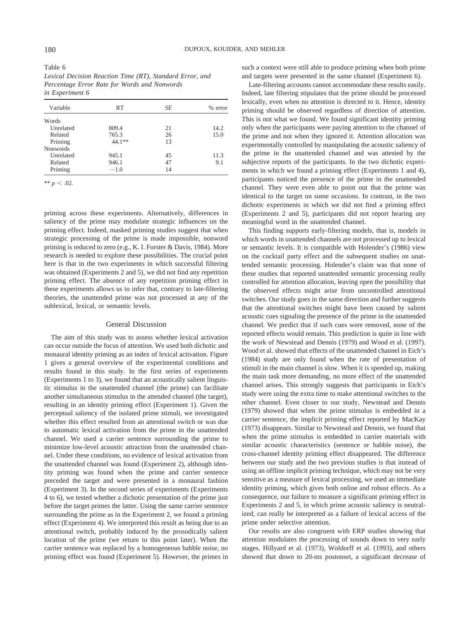Table 6 *Lexical Decision Reaction Time (RT), Standard Error, and Percentage Error Rate for Words and Nonwords in Experiment 6*

| Variable        | RT     | SЕ | $%$ error |  |
|-----------------|--------|----|-----------|--|
| Words           |        |    |           |  |
| Unrelated       | 809.4  | 21 | 14.2      |  |
| Related         | 765.3  | 26 | 15.0      |  |
| Priming         | 44.1** | 13 |           |  |
| <b>Nonwords</b> |        |    |           |  |
| Unrelated       | 945.1  | 45 | 11.3      |  |
| Related         | 946.1  | 47 | 9.1       |  |
| Priming         | $-1.0$ | 14 |           |  |

 $*$  *r*  $> 0.02$ .

priming across these experiments. Alternatively, differences in saliency of the prime may modulate strategic influences on the priming effect. Indeed, masked priming studies suggest that when strategic processing of the prime is made impossible, nonword priming is reduced to zero (e.g., K. I. Forster & Davis, 1984). More research is needed to explore these possibilities. The crucial point here is that in the two experiments in which successful filtering was obtained (Experiments 2 and 5), we did not find any repetition priming effect. The absence of any repetition priming effect in these experiments allows us to infer that, contrary to late-filtering theories, the unattended prime was not processed at any of the sublexical, lexical, or semantic levels.

#### General Discussion

The aim of this study was to assess whether lexical activation can occur outside the focus of attention. We used both dichotic and monaural identity priming as an index of lexical activation. Figure 1 gives a general overview of the experimental conditions and results found in this study. In the first series of experiments (Experiments 1 to 3), we found that an acoustically salient linguistic stimulus in the unattended channel (the prime) can facilitate another simultaneous stimulus in the attended channel (the target), resulting in an identity priming effect (Experiment 1). Given the perceptual saliency of the isolated prime stimuli, we investigated whether this effect resulted from an attentional switch or was due to automatic lexical activation from the prime in the unattended channel. We used a carrier sentence surrounding the prime to minimize low-level acoustic attraction from the unattended channel. Under these conditions, no evidence of lexical activation from the unattended channel was found (Experiment 2), although identity priming was found when the prime and carrier sentence preceded the target and were presented in a monaural fashion (Experiment 3). In the second series of experiments (Experiments 4 to 6), we tested whether a dichotic presentation of the prime just before the target primes the latter. Using the same carrier sentence surrounding the prime as in the Experiment 2, we found a priming effect (Experiment 4). We interpreted this result as being due to an attentional switch, probably induced by the prosodically salient location of the prime (we return to this point later). When the carrier sentence was replaced by a homogeneous babble noise, no priming effect was found (Experiment 5). However, the primes in such a context were still able to produce priming when both prime and targets were presented in the same channel (Experiment 6).

Late-filtering accounts cannot accommodate these results easily. Indeed, late filtering stipulates that the prime should be processed lexically, even when no attention is directed to it. Hence, identity priming should be observed regardless of direction of attention. This is not what we found. We found significant identity priming only when the participants were paying attention to the channel of the prime and not when they ignored it. Attention allocation was experimentally controlled by manipulating the acoustic saliency of the prime in the unattended channel and was attested by the subjective reports of the participants. In the two dichotic experiments in which we found a priming effect (Experiments 1 and 4), participants noticed the presence of the prime in the unattended channel. They were even able to point out that the prime was identical to the target on some occasions. In contrast, in the two dichotic experiments in which we did not find a priming effect (Experiments 2 and 5), participants did not report hearing any meaningful word in the unattended channel.

This finding supports early-filtering models, that is, models in which words in unattended channels are not processed up to lexical or semantic levels. It is compatible with Holender's (1986) view on the cocktail party effect and the subsequent studies on unattended semantic processing. Holender's claim was that none of these studies that reported unattended semantic processing really controlled for attention allocation, leaving open the possibility that the observed effects might arise from uncontrolled attentional switches. Our study goes in the same direction and further suggests that the attentional switches might have been caused by salient acoustic cues signaling the presence of the prime in the unattended channel. We predict that if such cues were removed, none of the reported effects would remain. This prediction is quite in line with the work of Newstead and Dennis (1979) and Wood et al. (1997). Wood et al. showed that effects of the unattended channel in Eich's (1984) study are only found when the rate of presentation of stimuli in the main channel is slow. When it is speeded up, making the main task more demanding, no more effect of the unattended channel arises. This strongly suggests that participants in Eich's study were using the extra time to make attentional switches to the other channel. Even closer to our study, Newstead and Dennis (1979) showed that when the prime stimulus is embedded in a carrier sentence, the implicit priming effect reported by MacKay (1973) disappears. Similar to Newstead and Dennis, we found that when the prime stimulus is embedded in carrier materials with similar acoustic characteristics (sentence or babble noise), the cross-channel identity priming effect disappeared. The difference between our study and the two previous studies is that instead of using an offline implicit priming technique, which may not be very sensitive as a measure of lexical processing, we used an immediate identity priming, which gives both online and robust effects. As a consequence, our failure to measure a significant priming effect in Experiments 2 and 5, in which prime acoustic saliency is neutralized, can really be interpreted as a failure of lexical access of the prime under selective attention.

Our results are also congruent with ERP studies showing that attention modulates the processing of sounds down to very early stages. Hillyard et al. (1973), Woldorff et al. (1993), and others showed that down to 20-ms postonset, a significant decrease of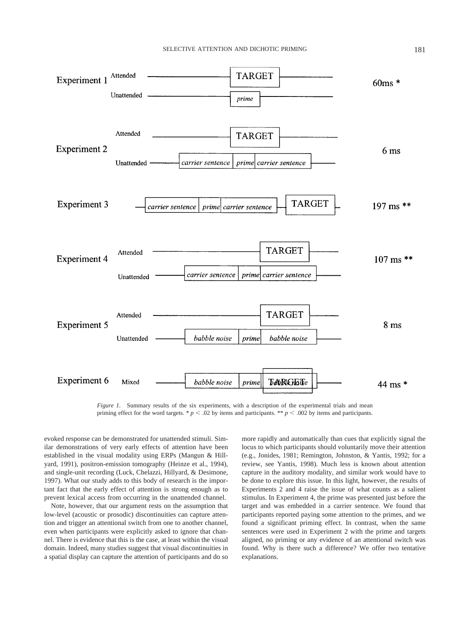

*Figure 1.* Summary results of the six experiments, with a description of the experimental trials and mean priming effect for the word targets.  $p < .02$  by items and participants.  $\frac{p}{q} < .002$  by items and participants.

evoked response can be demonstrated for unattended stimuli. Similar demonstrations of very early effects of attention have been established in the visual modality using ERPs (Mangun & Hillyard, 1991), positron-emission tomography (Heinze et al., 1994), and single-unit recording (Luck, Chelazzi, Hillyard, & Desimone, 1997). What our study adds to this body of research is the important fact that the early effect of attention is strong enough as to prevent lexical access from occurring in the unattended channel.

Note, however, that our argument rests on the assumption that low-level (acoustic or prosodic) discontinuities can capture attention and trigger an attentional switch from one to another channel, even when participants were explicitly asked to ignore that channel. There is evidence that this is the case, at least within the visual domain. Indeed, many studies suggest that visual discontinuities in a spatial display can capture the attention of participants and do so more rapidly and automatically than cues that explicitly signal the locus to which participants should voluntarily move their attention (e.g., Jonides, 1981; Remington, Johnston, & Yantis, 1992; for a review, see Yantis, 1998). Much less is known about attention capture in the auditory modality, and similar work would have to be done to explore this issue. In this light, however, the results of Experiments 2 and 4 raise the issue of what counts as a salient stimulus. In Experiment 4, the prime was presented just before the target and was embedded in a carrier sentence. We found that participants reported paying some attention to the primes, and we found a significant priming effect. In contrast, when the same sentences were used in Experiment 2 with the prime and targets aligned, no priming or any evidence of an attentional switch was found. Why is there such a difference? We offer two tentative explanations.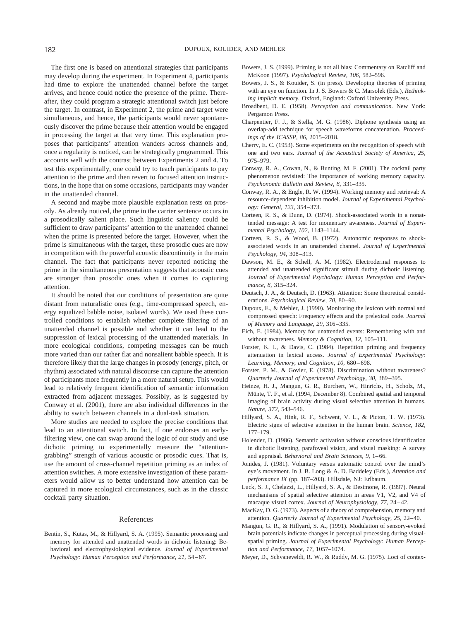The first one is based on attentional strategies that participants may develop during the experiment. In Experiment 4, participants had time to explore the unattended channel before the target arrives, and hence could notice the presence of the prime. Thereafter, they could program a strategic attentional switch just before the target. In contrast, in Experiment 2, the prime and target were simultaneous, and hence, the participants would never spontaneously discover the prime because their attention would be engaged in processing the target at that very time. This explanation proposes that participants' attention wanders across channels and, once a regularity is noticed, can be strategically programmed. This accounts well with the contrast between Experiments 2 and 4. To test this experimentally, one could try to teach participants to pay attention to the prime and then revert to focused attention instructions, in the hope that on some occasions, participants may wander in the unattended channel.

A second and maybe more plausible explanation rests on prosody. As already noticed, the prime in the carrier sentence occurs in a prosodically salient place. Such linguistic saliency could be sufficient to draw participants' attention to the unattended channel when the prime is presented before the target. However, when the prime is simultaneous with the target, these prosodic cues are now in competition with the powerful acoustic discontinuity in the main channel. The fact that participants never reported noticing the prime in the simultaneous presentation suggests that acoustic cues are stronger than prosodic ones when it comes to capturing attention.

It should be noted that our conditions of presentation are quite distant from naturalistic ones (e.g., time-compressed speech, energy equalized babble noise, isolated words). We used these controlled conditions to establish whether complete filtering of an unattended channel is possible and whether it can lead to the suppression of lexical processing of the unattended materials. In more ecological conditions, competing messages can be much more varied than our rather flat and nonsalient babble speech. It is therefore likely that the large changes in prosody (energy, pitch, or rhythm) associated with natural discourse can capture the attention of participants more frequently in a more natural setup. This would lead to relatively frequent identification of semantic information extracted from adjacent messages. Possibly, as is suggested by Conway et al. (2001), there are also individual differences in the ability to switch between channels in a dual-task situation.

More studies are needed to explore the precise conditions that lead to an attentional switch. In fact, if one endorses an earlyfiltering view, one can swap around the logic of our study and use dichotic priming to experimentally measure the "attentiongrabbing" strength of various acoustic or prosodic cues. That is, use the amount of cross-channel repetition priming as an index of attention switches. A more extensive investigation of these parameters would allow us to better understand how attention can be captured in more ecological circumstances, such as in the classic cocktail party situation.

#### References

Bentin, S., Kutas, M., & Hillyard, S. A. (1995). Semantic processing and memory for attended and unattended words in dichotic listening: Behavioral and electrophysiological evidence. *Journal of Experimental Psychology: Human Perception and Performance, 21,* 54–67.

- Bowers, J. S. (1999). Priming is not all bias: Commentary on Ratcliff and McKoon (1997). *Psychological Review, 106,* 582–596.
- Bowers, J. S., & Kouider, S. (in press). Developing theories of priming with an eye on function. In J. S. Bowers & C. Marsolek (Eds.), *Rethinking implicit memory.* Oxford, England: Oxford University Press.
- Broadbent, D. E. (1958). *Perception and communication.* New York: Pergamon Press.
- Charpentier, F. J., & Stella, M. G. (1986). Diphone synthesis using an overlap-add technique for speech waveforms concatenation. *Proceedings of the ICASSP, 86,* 2015–2018.
- Cherry, E. C. (1953). Some experiments on the recognition of speech with one and two ears. *Journal of the Acoustical Society of America, 25,* 975–979.
- Conway, R. A., Cowan, N., & Bunting, M. F. (2001). The cocktail party phenomenon revisited: The importance of working memory capacity. *Psychonomic Bulletin and Review, 8,* 331–335.
- Conway, R. A., & Engle, R. W. (1994). Working memory and retrieval: A resource-dependent inhibition model. *Journal of Experimental Psychology: General, 123,* 354–373.
- Corteen, R. S., & Dunn, D. (1974). Shock-associated words in a nonattended message: A test for momentary awareness. *Journal of Experimental Psychology, 102,* 1143–1144.
- Corteen, R. S., & Wood, B. (1972). Autonomic responses to shockassociated words in an unattended channel. *Journal of Experimental Psychology, 94,* 308–313.
- Dawson, M. E., & Schell, A. M. (1982). Electrodermal responses to attended and unattended significant stimuli during dichotic listening. *Journal of Experimental Psychology: Human Perception and Performance, 8,* 315–324.
- Deutsch, J. A., & Deutsch, D. (1963). Attention: Some theoretical considerations. *Psychological Review, 70,* 80–90.
- Dupoux, E., & Mehler, J. (1990). Monitoring the lexicon with normal and compressed speech: Frequency effects and the prelexical code. *Journal of Memory and Language, 29,* 316–335.
- Eich, E. (1984). Memory for unattended events: Remembering with and without awareness. *Memory & Cognition, 12,* 105–111.
- Forster, K. I., & Davis, C. (1984). Repetition priming and frequency attenuation in lexical access. *Journal of Experimental Psychology: Learning, Memory, and Cognition, 10,* 680–698.
- Forster, P. M., & Govier, E. (1978). Discrimination without awareness? *Quarterly Journal of Experimental Psychology, 30,* 389–395.
- Heinze, H. J., Mangun, G. R., Burchert, W., Hinrichs, H., Scholz, M., Münte, T. F., et al. (1994, December 8). Combined spatial and temporal imaging of brain activity during visual selective attention in humans. *Nature, 372,* 543–546.
- Hillyard, S. A., Hink, R. F., Schwent, V. L., & Picton, T. W. (1973). Electric signs of selective attention in the human brain. *Science, 182,* 177–179.
- Holender, D. (1986). Semantic activation without conscious identification in dichotic listening, parafoveal vision, and visual masking: A survey and appraisal. *Behavioral and Brain Sciences, 9,* 1–66.
- Jonides, J. (1981). Voluntary versus automatic control over the mind's eye's movement. In J. B. Long & A. D. Baddeley (Eds.), *Attention and performance IX* (pp. 187–203). Hillsdale, NJ: Erlbaum.
- Luck, S. J., Chelazzi, L., Hillyard, S. A., & Desimone, R. (1997). Neural mechanisms of spatial selective attention in areas V1, V2, and V4 of macaque visual cortex. *Journal of Neurophysiology, 77,* 24–42.
- MacKay, D. G. (1973). Aspects of a theory of comprehension, memory and attention. *Quarterly Journal of Experimental Psychology, 25,* 22–40.
- Mangun, G. R., & Hillyard, S. A., (1991). Modulation of sensory-evoked brain potentials indicate changes in perceptual processing during visualspatial priming. *Journal of Experimental Psychology: Human Perception and Performance, 17,* 1057–1074.
- Meyer, D., Schvaneveldt, R. W., & Ruddy, M. G. (1975). Loci of contex-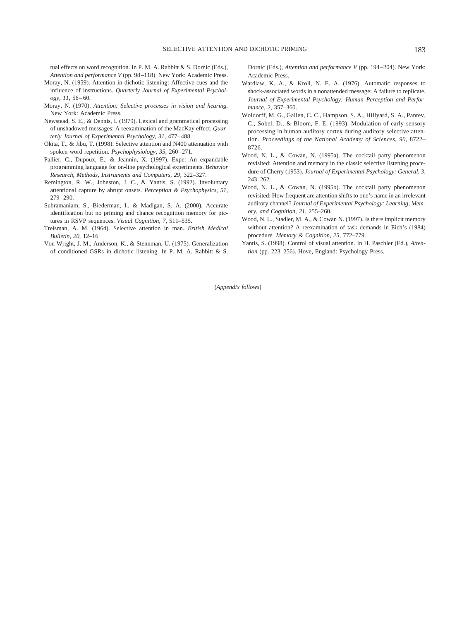tual effects on word recognition. In P. M. A. Rabbitt & S. Dornic (Eds.), *Attention and performance V* (pp. 98–118). New York: Academic Press.

- Moray, N. (1959). Attention in dichotic listening: Affective cues and the influence of instructions. *Quarterly Journal of Experimental Psychology, 11,* 56–60.
- Moray, N. (1970). *Attention: Selective processes in vision and hearing.* New York: Academic Press.
- Newstead, S. E., & Dennis, I. (1979). Lexical and grammatical processing of unshadowed messages: A reexamination of the MacKay effect. *Quarterly Journal of Experimental Psychology, 31,* 477–488.
- Okita, T., & Jibu, T. (1998). Selective attention and N400 attenuation with spoken word repetition. *Psychophysiology, 35,* 260–271.
- Pallier, C., Dupoux, E., & Jeannin, X. (1997). Expe: An expandable programming language for on-line psychological experiments. *Behavior Research, Methods, Instruments and Computers, 29,* 322–327.
- Remington, R. W., Johnston, J. C., & Yantis, S. (1992). Involuntary attentional capture by abrupt onsets. *Perception & Psychophysics, 51,* 279–290.
- Subramaniam, S., Biederman, I., & Madigan, S. A. (2000). Accurate identification but no priming and chance recognition memory for pictures in RSVP sequences. *Visual Cognition, 7,* 511–535.
- Treisman, A. M. (1964). Selective attention in man. *British Medical Bulletin, 20,* 12–16.
- Von Wright, J. M., Anderson, K., & Stennman, U. (1975). Generalization of conditioned GSRs in dichotic listening. In P. M. A. Rabbitt & S.

Dornic (Eds.), *Attention and performance V* (pp. 194–204). New York: Academic Press.

- Wardlaw, K. A., & Kroll, N. E. A. (1976). Automatic responses to shock-associated words in a nonattended message: A failure to replicate. *Journal of Experimental Psychology: Human Perception and Performance, 2,* 357–360.
- Woldorff, M. G., Gallen, C. C., Hampson, S. A., Hillyard, S. A., Pantev, C., Sobel, D., & Bloom, F. E. (1993). Modulation of early sensory processing in human auditory cortex during auditory selective attention. *Proceedings of the National Academy of Sciences, 90,* 8722– 8726.
- Wood, N. L., & Cowan, N. (1995a). The cocktail party phenomenon revisited: Attention and memory in the classic selective listening procedure of Cherry (1953). *Journal of Experimental Psychology: General, 3,* 243–262.
- Wood, N. L., & Cowan, N. (1995b). The cocktail party phenomenon revisited: How frequent are attention shifts to one's name in an irrelevant auditory channel? *Journal of Experimental Psychology: Learning, Memory, and Cognition, 21,* 255–260.
- Wood, N. L., Stadler, M. A., & Cowan N. (1997). Is there implicit memory without attention? A reexamination of task demands in Eich's (1984) procedure. *Memory & Cognition, 25,* 772–779.
- Yantis, S. (1998). Control of visual attention. In H. Paschler (Ed.), *Attention* (pp. 223–256). Hove, England: Psychology Press.

(*Appendix follows*)